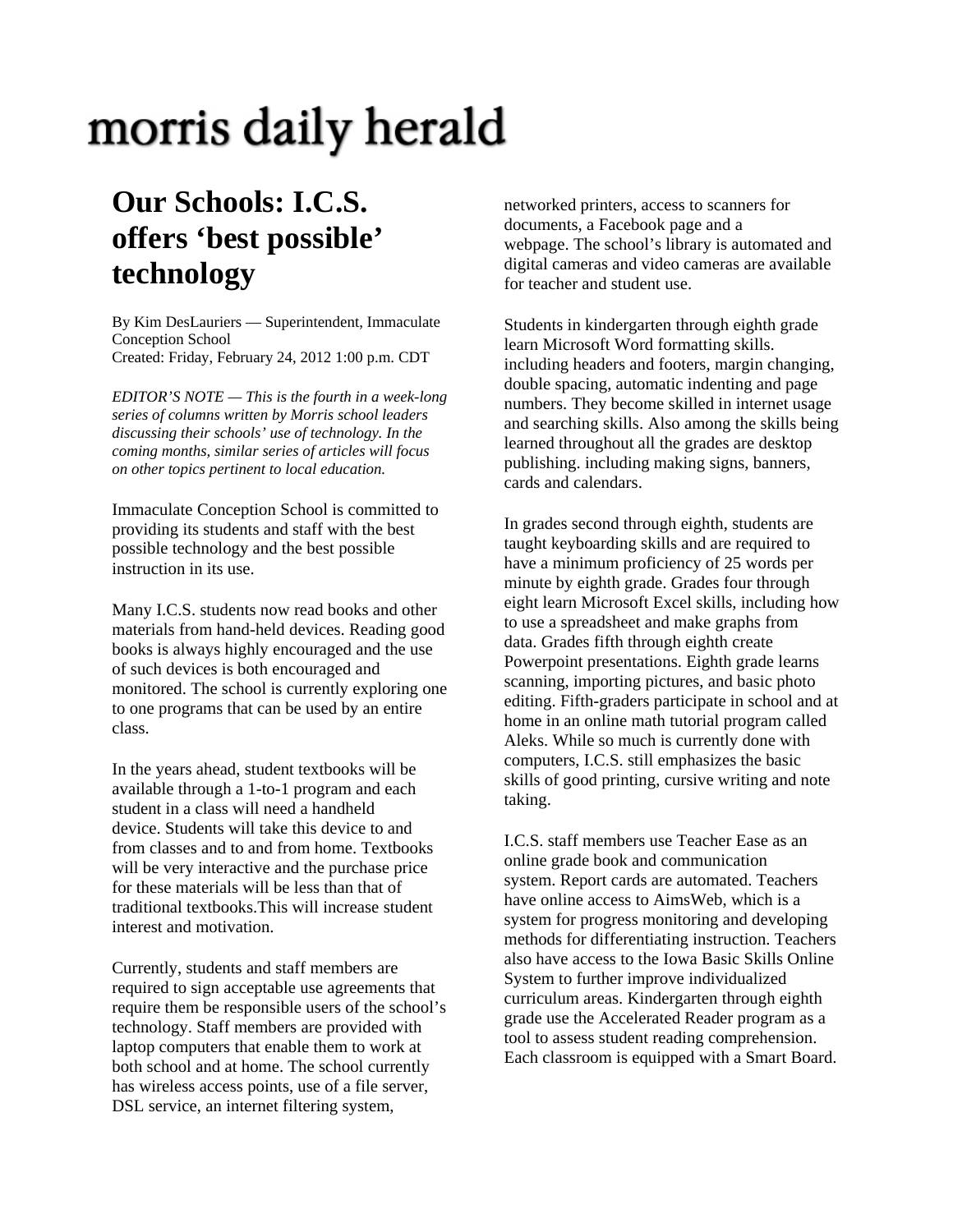## morris daily herald

## **Our Schools: I.C.S. offers 'best possible' technology**

By Kim DesLauriers — Superintendent, Immaculate Conception School Created: Friday, February 24, 2012 1:00 p.m. CDT

*EDITOR'S NOTE — This is the fourth in a week-long series of columns written by Morris school leaders discussing their schools' use of technology. In the coming months, similar series of articles will focus on other topics pertinent to local education.* 

Immaculate Conception School is committed to providing its students and staff with the best possible technology and the best possible instruction in its use.

Many I.C.S. students now read books and other materials from hand-held devices. Reading good books is always highly encouraged and the use of such devices is both encouraged and monitored. The school is currently exploring one to one programs that can be used by an entire class.

In the years ahead, student textbooks will be available through a 1-to-1 program and each student in a class will need a handheld device. Students will take this device to and from classes and to and from home. Textbooks will be very interactive and the purchase price for these materials will be less than that of traditional textbooks.This will increase student interest and motivation.

Currently, students and staff members are required to sign acceptable use agreements that require them be responsible users of the school's technology. Staff members are provided with laptop computers that enable them to work at both school and at home. The school currently has wireless access points, use of a file server, DSL service, an internet filtering system,

networked printers, access to scanners for documents, a Facebook page and a webpage. The school's library is automated and digital cameras and video cameras are available for teacher and student use.

Students in kindergarten through eighth grade learn Microsoft Word formatting skills. including headers and footers, margin changing, double spacing, automatic indenting and page numbers. They become skilled in internet usage and searching skills. Also among the skills being learned throughout all the grades are desktop publishing. including making signs, banners, cards and calendars.

In grades second through eighth, students are taught keyboarding skills and are required to have a minimum proficiency of 25 words per minute by eighth grade. Grades four through eight learn Microsoft Excel skills, including how to use a spreadsheet and make graphs from data. Grades fifth through eighth create Powerpoint presentations. Eighth grade learns scanning, importing pictures, and basic photo editing. Fifth-graders participate in school and at home in an online math tutorial program called Aleks. While so much is currently done with computers, I.C.S. still emphasizes the basic skills of good printing, cursive writing and note taking.

I.C.S. staff members use Teacher Ease as an online grade book and communication system. Report cards are automated. Teachers have online access to AimsWeb, which is a system for progress monitoring and developing methods for differentiating instruction. Teachers also have access to the Iowa Basic Skills Online System to further improve individualized curriculum areas. Kindergarten through eighth grade use the Accelerated Reader program as a tool to assess student reading comprehension. Each classroom is equipped with a Smart Board.